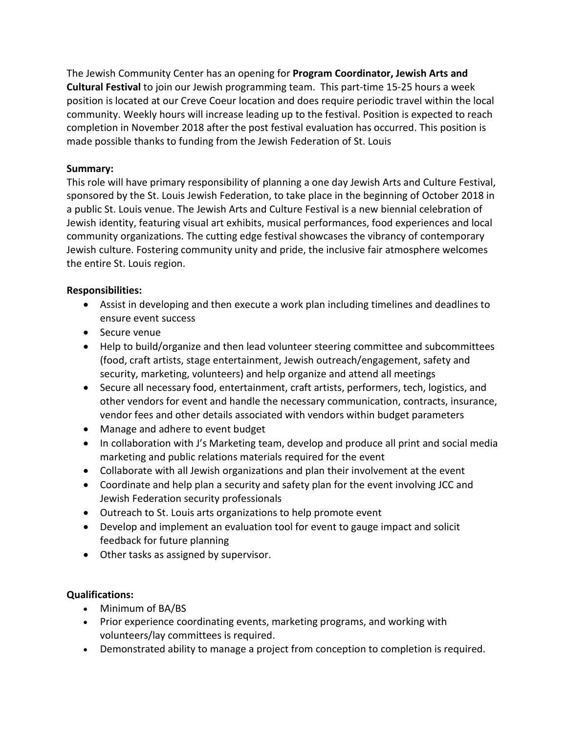The Jewish Community Center has an opening for **Program Coordinator, Jewish Arts and Cultural Festival** to join our Jewish programming team. This part-time 15-25 hours a week position is located at our Creve Coeur location and does require periodic travel within the local community. Weekly hours will increase leading up to the festival. Position is expected to reach completion in November 2018 after the post festival evaluation has occurred. This position is made possible thanks to funding from the Jewish Federation of St. Louis

## **Summary:**

This role will have primary responsibility of planning a one day Jewish Arts and Culture Festival, sponsored by the St. Louis Jewish Federation, to take place in the beginning of October 2018 in a public St. Louis venue. The Jewish Arts and Culture Festival is a new biennial celebration of Jewish identity, featuring visual art exhibits, musical performances, food experiences and local community organizations. The cutting edge festival showcases the vibrancy of contemporary Jewish culture. Fostering community unity and pride, the inclusive fair atmosphere welcomes the entire St. Louis region.

## **Responsibilities:**

- Assist in developing and then execute a work plan including timelines and deadlines to ensure event success
- Secure venue
- Help to build/organize and then lead volunteer steering committee and subcommittees (food, craft artists, stage entertainment, Jewish outreach/engagement, safety and security, marketing, volunteers) and help organize and attend all meetings
- Secure all necessary food, entertainment, craft artists, performers, tech, logistics, and other vendors for event and handle the necessary communication, contracts, insurance, vendor fees and other details associated with vendors within budget parameters
- Manage and adhere to event budget
- In collaboration with J's Marketing team, develop and produce all print and social media marketing and public relations materials required for the event
- Collaborate with all Jewish organizations and plan their involvement at the event
- Coordinate and help plan a security and safety plan for the event involving JCC and Jewish Federation security professionals
- Outreach to St. Louis arts organizations to help promote event
- Develop and implement an evaluation tool for event to gauge impact and solicit feedback for future planning
- Other tasks as assigned by supervisor.

## **Qualifications:**

- Minimum of BA/BS
- Prior experience coordinating events, marketing programs, and working with volunteers/lay committees is required.
- Demonstrated ability to manage a project from conception to completion is required.